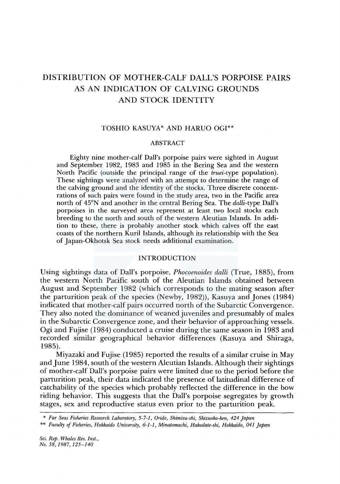# DISTRIBUTION OF MOTHER-CALF DALL'S PORPOISE PAIRS AS AN INDICATION OF CALVING GROUNDS AND STOCK IDENTITY

## TOSHIO KASUYA\* AND HARUO OGI\*\*

#### ABSTRACT

Eighty nine mother-calf Dall's porpoise pairs were sighted in August and September 1982, 1983 and 1985 in the Bering Sea and the western North Pacific (outside the principal range of the *truei-type* population). These sightings were analyzed with an attempt to determine the range of the calving ground and the identity of the stocks. Three discrete concentrations of such pairs were found in the study area, two in the Pacific area north of 45°N and another in the central Bering Sea. The *dalli-type* Dall's porpoises in the surveyed area represent at least two local stocks each breeding to the north and south of the western Aleutian Islands. In addition to these, there is probably another stock which calves off the east coasts of the northern Kuril Islands, although its relationship with the Sea of Japan-Okhotsk Sea stock needs additional examination.

## INTRODUCTION

Using sightings data of Dall's porpoise, *Phocoenoides dalli* (True, 1885), from the western North Pacific south of the Aleutian Islands obtained between August and September 1982 (which corresponds to the mating season after the parturition peak of the species (Newby, 1982)), Kasuya and Jones (1984) indicated that mother-calf pairs occurred north of the Subarctic Convergence. They also noted the dominance of weaned juveniles and presumably of males in the Subarctic Convergence zone, and their behavior of approaching vessels. Ogi and Fujise (1984) conducted a cruise during the same season in 1983 and recorded similar geographical behavior differences (Kasuya and Shiraga, 1985).

Miyazaki and Fujise (1985) reported the results of a similar cruise in May and June 1984, south of the western Aleutian Islands. Although their sightings of mother-calf Dall's porpoise pairs were limited due to the period before the parturition peak, their data indicated the presence of latitudinal difference of catchability of the species which probably reflected the difference in the bow riding behavior. This suggests that the Dall's porpoise segregates by growth stages, sex and reproductive status even prior to the parturition peak.

<sup>\*</sup> *Far Seas Fisheries Research Laboratory, 5-7-1, Orido, Shimizu-ski, Shizuoka-ken, 424 Japan* 

<sup>\*\*</sup> *Faculty of Fisheries, Hokkaido University, 6-1-1, Minatomachi, Hakodate-shi, Hokkaido, 041 Japan*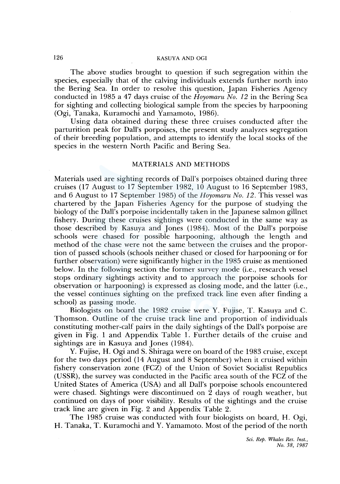The above studies brought to question if such segregation within the species, especially that of the calving individuals extends further north into the Bering Sea. In order to resolve this question, Japan Fisheries Agency conducted in 1985 a 47 days cruise of the *Hoyomaru No. 12* in the Bering Sea for sighting and collecting biological sample from the species by harpooning (Ogi, Tanaka, Kuramochi and Yamamoto, 1986).

Using data obtained during these three cruises conducted after the parturition peak for Dall's porpoises, the present study analyzes segregation of their breeding population, and attempts to identify the local stocks of the species in the western North Pacific and Bering Sea.

# MATERIALS AND METHODS

Materials used are sighting records of Dall's porpoises obtained during three cruises (17 August to 17 September 1982, 10 August to 16 September 1983, and 6 August to 17 September 1985) of the *Hoyomaru No. 12*. This vessel was chartered by the Japan Fisheries Agency for the purpose of studying the biology of the Dall's porpoise incidentally taken in the Japanese salmon gillnet fishery. During these cruises sightings were conducted in the same way as those described by Kasuya and Jones (1984). Most of the Dall's porpoise schools were chased for possible harpooning, although the length and method of the chase were not the same between the cruises and the proportion of passed schools (schools neither chased or closed for harpooning or for further observation) were significantly higher in the 1985 cruise as mentioned below. In the following section the former survey mode (i.e., research vessel stops ordinary sightings activity and to approach the porpoise schools for observation or harpooning) is expressed as closing mode, and the latter (i.e., the vessel continues sighting on the prefixed track line even after finding a school) as passing mode.

Biologists on board the 1982 cruise were Y. Fujise, T. Kasuya and C. Thomson. Outline of the cruise track line and proportion of individuals constituting mother-calf pairs in the daily sightings of the Dall's porpoise are given in Fig. 1 and Appendix Table 1. Further details of the cruise and sightings are in Kasuya and Jones (1984).

Y. Fujise, H. Ogi and S. Shiraga were on board of the 1983 cruise, except for the two days period (14 August and 8 September) when it cruised within fishery conservation zone (FCZ) of the Union of Soviet Socialist Republics (USSR), the survey was conducted in the Pacific area south of the FCZ of the United States of America (USA) and all Dall's porpoise schools encountered were chased. Sightings were discontinued on 2 days of rough weather, but continued on days of poor visibility. Results of the sightings and the cruise track line are given in Fig. 2 and Appendix Table 2.

The 1985 cruise was conducted with four biologists on board, H. Ogi, H. Tanaka, T. Kuramochi and Y. Yamamoto. Most of the period of the north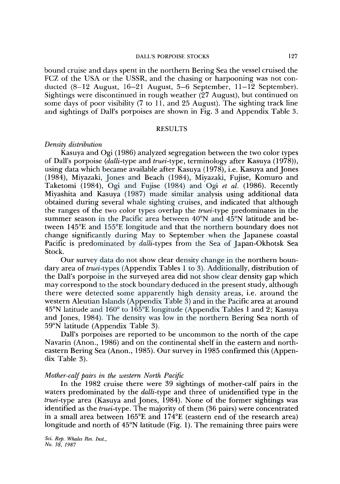## DALL'S PORPOISE STOCKS 127

bound cruise and days spent in the northern Bering Sea the vessel cruised the FCZ of the USA or the USSR, and the chasing or harpooning was not conducted (8-12 August, 16-21 August, 5-6 September, 11-12 September). Sightings were discontinued in rough weather (27 August), but continued on some days of poor visibility (7 to 11, and 25 August). The sighting track line and sightings of Dall's porpoises are shown in Fig. 3 and Appendix Table 3.

## **RESULTS**

## *Density distribution*

Kasuya and Ogi ( 1986) analyzed segregation between the two color types of Dall's porpoise *(dalli-type* and *truei-type,* terminology after Kasuya (1978)), using data which became available after Kasuya (1978), i.e. Kasuya and Jones (1984), Miyazaki, Jones and Beach (1984), Miyazaki, Fujise, Komuro and Taketomi (1984), Ogi and Fujise (1984) and Ogi *et al.* (1986). Recently Miyashita and Kasuya (1987) made similar analysis using additional data obtained during several whale sighting cruises, and indicated that although the ranges of the two color types overlap the *truei-type* predominates in the summer season in the Pacific area between 40°N and 45°N latitude and between 145°£ and 155°£ longitude and that the northern boundary does not change significantly during May to September when the Japanese coastal Pacific is predominated by *dalli-types* from the Sea of Japan-Okhotsk Sea Stock.

Our survey data do not show clear density change in the northern boundary area of *truei-types* (Appendix Tables 1 to 3). Additionally, distribution of the Dall's porpoise in the surveyed area did not show clear density gap which may correspond to the stock boundary deduced in the present study, although there were detected some apparently high density areas, i.e. around the western Aleutian Islands (Appendix Table 3) and in the Pacific area at around 45°N latitude and 160° to 165°£ longitude (Appendix Tables 1 and 2; Kasuya and Jones, 1984). The density was low in the northern Bering Sea north of 59°N latitude (Appendix Table 3).

Dall's porpoises are reported to be uncommon to the north of the cape Navarin (Anon., 1986) and on the continental shelf in the eastern and northeastern Bering Sea (Anon., 1985). Our survey in 1985 confirmed this (Appendix Table 3).

#### *Mother-calf pairs in the western North Pacific*

In the 1982 cruise there were 39 sightings of mother-calf pairs in the waters predominated by the *dalli-type* and three of unidentified type in the *truei-type* area (Kasuya and Jones, 1984). None of the former sightings was identified as the *truei-type.* The majority of them (36 pairs) were concentrated in a small area between 165°£ and 174°£ (eastern end of the research area) longitude and north of 45°N latitude (Fig. 1). The remaining three pairs were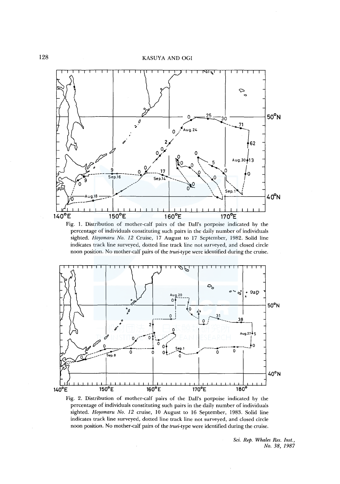

Fig. 1. Distribution of mother-calf pairs of the Dall's porpoise indicated by the percentage of individuals constituting such pairs in the daily number of individuals sighted. *Hoyomaru No. 12* Cruise, 17 August to 17 September, 1982. Solid line indicates track line surveyed, dotted line track line not surveyed, and closed circle noon position. No mother-calf pairs of the *truei-type* were identified during the cruise.



Fig. 2. Distribution of mother-calf pairs of the Dall's porpoise indicated by the percentage of individuals constituting such pairs in the daily number of individuals sighted. *Hoyomaru No. 12* cruise, 10 August to 16 September, 1983. Solid line indicates track line surveyed, dotted line track line not surveyed, and closed circle noon position. No mother-calf pairs of the *truei-type* were identified during the cruise.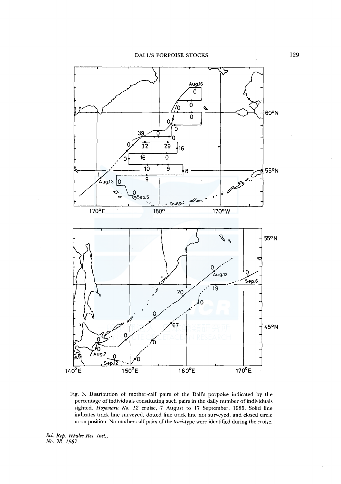DALL'S PORPOISE STOCKS



Fig. 3. Distribution of mother-calf pairs of the Dall's porpoise indicated by the percentage of individuals constituting such pairs in the daily number of individuals sighted. *Hoyomaru No. 12* cruise, 7 August to 17 September, 1985. Solid line indicates track line surveyed, dotted line track line not surveyed, and closed circle noon position. No mother-calf pairs of the *truei-type* were identified during the cruise.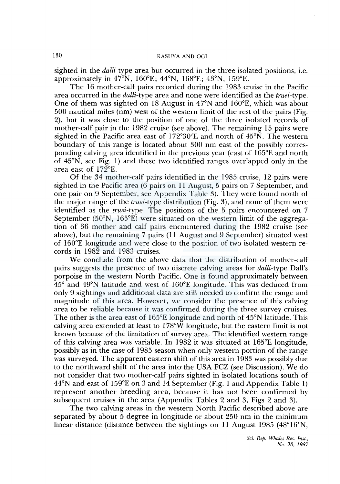sighted in the *dalli-type* area but occurred in the three isolated positions, i.e. approximately in 47°N, 160°E; 44°N, 168°E; 43°N, 159°E.

The 16 mother-calf pairs recorded during the 1983 cruise in the Pacific area occurred in the *dalli-type* area and none were identified as the *truei-type.*  One of them was sighted on 18 August in 47°N and 160°E, which was about 500 nautical miles (nm) west of the western limit of the rest of the pairs (Fig. 2), but it was close to the position of one of the three isolated records of mother-calf pair in the 1982 cruise (see above). The remaining 15 pairs were sighted in the Pacific area east of  $172^{\circ}30'$ E and north of  $45^{\circ}$ N. The western boundary of this range is located about 300 nm east of the possibly corresponding calving area identified in the previous year (east of l 65°E and north of 45°N, see Fig. 1) and these two identified ranges overlapped only in the area east of  $172^{\circ}E$ .

Of the 34 mother-calf pairs identified in the 1985 cruise, 12 pairs were sighted in the Pacific area (6 pairs on 11 August, 5 pairs on 7 September, and one pair on 9 September, see Appendix Table 3). They were found north of the major range of the *truei-type* distribution (Fig. 3), and none of them were identified as the *truei-type.* The positions of the 5 pairs encountered on 7 September (50°N, 165°E) were situated on the western limit of the aggregation of 36 mother and calf pairs encountered during the 1982 cruise (see above), but the remaining 7 pairs (11 August and 9 September) situated west of l 60°E longitude and were close to the position of two isolated western records in 1982 and 1983 cruises.

We conclude from the above data that the distribution of mother-calf pairs suggests the presence of two discrete calving areas for *dalli-type* Dall's porpoise in the western North Pacific. One is found approximately between 45° and 49°N latitude and west of 160°E longitude. This was deduced from only 9 sightings and additional data are still needed to confirm the range and magnitude of this area. However, we consider the presence of this calving area to be reliable because it was confirmed during the three survey cruises. The other is the area east of 165°E longitude and north of 45°N latitude. This calving area extended at least to l 78°W longitude, but the eastern limit is not known because of the limitation of survey area. The identified western range of this calving area was variable. In 1982 it was situated at l 65°E longitude, possibly as in the case of 1985 season when only western portion of the range was surveyed. The apparent eastern shift of this area in 1983 was possibly due to the northward shift of the area into the USA FCZ (see Discussion). We do not consider that two mother-calf pairs sighted in isolated locations south of 44°N and east of 159°E on 3 and 14 September (Fig. 1 and Appendix Table 1) represent another breeding area, because it has not been confirmed by subsequent cruises in the area (Appendix Tables 2 and 3, Figs 2 and 3).

The two calving areas in the western North Pacific described above are separated by about 5 degree in longitude or about 250 nm in the minimum linear distance (distance between the sightings on 11 August 1985 (48°16'N,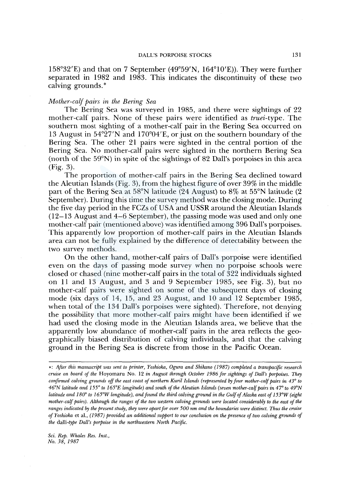158°32'£) and that on 7 September (49°59'N, 164°10'£)). They were further separated in 1982 and 1983. This indicates the discontinuity of these two calving grounds.\*

## *Mother-calf pairs in the Bering Sea*

The Bering Sea was surveyed in 1985, and there were sightings of 22 mother-calf pairs. None of these pairs were identified as *truei-type.* The southern most sighting of a mother-calf pair in the Bering Sea occurred on 13 August in 54°27'N and 170°04'£, or just on the southern boundary of the Bering Sea. The other 21 pairs were sighted in the central portion of the Bering Sea. No mother-calf pairs were sighted in the northern Bering Sea (north of the 59°N) in spite of the sightings of 82 Dall's porpoises in this area (Fig. 3).

The proportion of mother-calf pairs in the Bering Sea declined toward the Aleutian Islands (Fig. 3), from the highest figure of over 39% in the middle part of the Bering Sea at 58°N latitude (24 August) to 8% at 55°N latitude (2 September). During this time the survey method was the closing mode. During the five day period in the FCZs of USA and USSR around the Aleutian Islands  $(12-13$  August and  $4-6$  September), the passing mode was used and only one mother-calf pair (mentioned above) was identified among 396 Dall's porpoises. This apparently low proportion of mother-calf pairs in the Aleutian Islands area can not be fully explained by the difference of detectability between the two survey methods.

On the other hand, mother-calf pairs of Dall's porpoise were identified even on the days of passing mode survey when no porpoise schools were closed or chased (nine mother-calf pairs in the total of 322 individuals sighted on 11 and 13 August, and 3 and 9 September 1985, see Fig. 3), but no mother-calf pairs were sighted on some of the subsequent days of closing mode (six days of 14, 15, and 23 August, and 10 and 12 September 1985, when total of the 134 Dall's porpoises were sighted). Therefore, not denying the possibility that more mother-calf pairs might have been identified if we had used the closing mode in the Aleutian Islands area, we believe that the apparently low abundance of mother-calf pairs in the area reflects the geographically biased distribution of calving individuals, and that the calving ground in the Bering Sea is discrete from those in the Pacific Ocean.

<sup>•:</sup> *After this manuscript was sent to printer, Yoshioka, Ogura and Shikano (1987) completed a transpacific research cruise on board of the* Hoyomaru No. 12 *in August through October 1986 for sightings of Dall's porpoises. They confirmed calving grounds off the east coast of northern Kuril Islands (represented by four mother-calf pairs in 43° to 46°N latitude and 155° to 165°E longitude) and south of the Aleutian Islands (seven mother-calf pairs in 47° to 49°N latitude and 180° to 165°W longitude), and found the third calving ground in the Gulf of Alaska east of 153°W (eight mother-calf pairs). Although the ranges of the two western calving grounds were located considerably to the east of the ranges indicated* fry *the present study, they were apart for over 500 nm and the boundaries were distinct. Thus the cruise of Yoshioka* et al., *(1987) provided an additional support to our conclusion on the presence of two calving grounds of the dalli-type Dall's porpoise in the northwestern North Pacific.*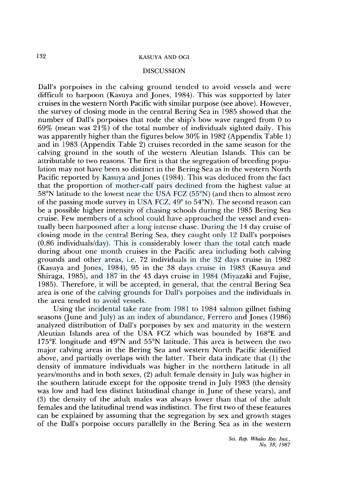#### DISCUSSION

Dall's porpoises in the calving ground tended to avoid vessels and were difficult to harpoon (Kasuya and Jones, 1984). This was supported by later cruises in the western North Pacific with similar purpose (see above). However, the survey of closing mode in the central Bering Sea in 1985 showed that the number of Dall's porpoises that rode the ship's bow wave ranged from 0 to 69% (mean was  $21\%$ ) of the total number of individuals sighted daily. This was apparently higher than the figures below 30% in 1982 (Appendix Table 1) and in 1983 (Appendix Table 2) cruises recorded in the same season for the calving ground in the south of the western Aleutian Islands. This can be attributable to two reasons. The first is that the segregation of breeding population may not have been so distinct in the Bering Sea as in the western North Pacific reported by Kasuya and Jones (1984). This was deduced from the fact that the proportion of mother-calf pairs declined from the highest value at 58°N latitude to the lowest near the USA FCZ (55°N) (and then to almost zero of the passing mode survey in USA FCZ, 49° to 54°N). The second reason can be a possible higher intensity of chasing schools during the 1985 Bering Sea cruise. Few members of a school could have approached the vessel and eventually been harpooned after a long intense chase. During the 14 day cruise of closing mode in the central Bering Sea, they caught only 12 Dall's porpoises (0.86 individuals/day). This is considerably lower than the total catch made during about one month cruises in the Pacific area including both calving grounds and other areas, i.e. 72 individuals in the 32 days cruise in 1982 (Kasuya and Jones, 1984), 95 in the 38 days cruise in 1983 (Kasuya and Shiraga, 1985), and 187 in the 43 days cruise in 1984 (Miyazaki and Fujise, 1985). Therefore, it will be accepted, in general, that the central Bering Sea area is one of the calving grounds for Dall's porpoises and the individuals in the area tended to avoid vessels.

Using the incidental take rate from 1981 to 1984 salmon gillnet fishing seasons (June and July) as an index of abundance, Ferrero and Jones (1986) analyzed distribution of Dall's porpoises by sex and maturity in the western Aleutian Islands area of the USA FCZ which was bounded by 168°E and l 75°E longitude and 49°N and 55°N latitude. This area is between the two major calving areas in the Bering Sea and western North Pacific identified above, and partially overlaps with the latter. Their data indicate that (1) the density of immature individuals was higher in the northern latitude in all years/months and in both sexes, (2) adult female density in July was higher in the southern latitude except for the opposite trend in July 1983 (the density was low and had less distinct latitudinal change in June of these years), and (3) the density of the adult males was always lower than that of the adult females and the latitudinal trend was indistinct. The first two of these features can be explained by assuming that the segregation by sex and growth stages of the Dall's porpoise occurs parallelly in the Bering Sea as in the western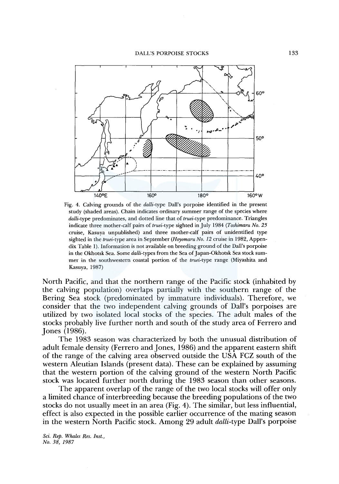

Fig. 4. Calving grounds of the *dalli-type* Dall's porpoise identified in the present study (shaded areas). Chain indicates ordinary summer range of the species where *dalli-type* predominates, and dotted line that of *truei-type* predominance. Triangles indicate three mother-calf pairs of *truei-type* sighted in July 1984 *(Toshimaru No. 25*  cruise, Kasuya unpublished) and three mother-calf pairs of unidentified type sighted in the *truei-type* area in September *(Hoyomaru No. 12* cruise in 1982, Appendix Table 1). Information is not available on breeding ground of the Dall's porpoise in the Okhotsk Sea. Some *dalli-types* from the Sea of Japan-Okhotsk Sea stock summer in the southwestern coastal portion of the *truei-type* range (Miyashita and Kasuya, 1987)

North Pacific, and that the northern range of the Pacific stock (inhabited by the calving population) overlaps partially with the southern range of the Bering Sea stock (predominated by immature individuals). Therefore, we consider that the two independent calving grounds of Dall's porpoises are utilized by two isolated local stocks of the species. The adult males of the stocks probably live further north and south of the study area of Ferrero and Jones (1986).

The 1983 season was characterized by both the unusual distribution of adult female density (Ferrero and Jones, 1986) and the apparent eastern shift of the range of the calving area observed outside the USA FCZ south of the western Aleutian Islands (present data). These can be explained by assuming that the western portion of the calving ground of the western North Pacific stock was located further north during the 1983 season than other seasons.

The apparent overlap of the range of the two local stocks will offer only a limited chance of interbreeding because the breeding populations of the two stocks do not usually meet in an area (Fig. 4). The similar, but less influential, effect is also expected in the possible earlier occurrence of the mating season in the western North Pacific stock. Among 29 adult *dalli-type* Dall's porpoise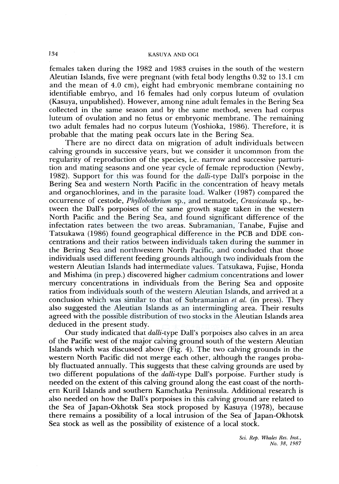females taken during the 1982 and 1983 cruises in the south of the western Aleutian Islands, five were pregnant (with fetal body lengths 0.32 to 13.1 cm and the mean of 4.0 cm), eight had embryonic membrane containing no identifiable embryo, and 16 females had only corpus luteum of ovulation (Kasuya, unpublished). However, among nine adult females in the Bering Sea collected in the same season and by the same method, seven had corpus luteum of ovulation and no fetus or embryonic membrane. The remaining two adult females had no corpus luteum (Yoshioka, 1986). Therefore, it is probable that the mating peak occurs late in the Bering Sea.

There are no direct data on migration of adult individuals between calving grounds in successive years, but we consider it uncommon from the regularity of reproduction of the species, i.e. narrow and successive parturition and mating seasons and one year cycle of female reproduction (Newby, 1982). Support for this was found for the *dalli-type* Dall's porpoise in the Bering Sea and western North Pacific in the concentration of heavy metals and organochlorines, and in the parasite load. Walker (1987) compared the occurrence of cestode, *Phyllobothrium* sp., and nematode, *Crassicauda* sp., between the Dall's porpoises of the same growth stage taken in the western North Pacific and the Bering Sea, and found significant difference of the infectation rates between the two areas. Subramanian, Tanabe, Fujise and Tatsukawa (1986) found geographical difference in the PCB and DDE concentrations and their ratios between individuals taken during the summer in the Bering Sea and northwestern North Pacific, and concluded that those individuals used different feeding grounds although two individuals from the western Aleutian Islands had intermediate values. Tatsukawa, Fujise, Honda and Mishima (in prep.) discovered higher cadmium concentrations and lower mercury concentrations in individuals from the Bering Sea and opposite ratios from individuals south of the western Aleutian Islands, and arrived at a conclusion which was similar to that of Subramanian *et al.* (in press). They also suggested the Aleutian Islands as an intermingling area. Their results agreed with the possible distribution of two stocks in the Aleutian Islands area deduced in the present study.

Our study indicated that *dalli-type* Dall's porpoises also calves in an area of the Pacific west of the major calving ground south of the western Aleutian Islands which was discussed above (Fig. 4). The two calving grounds in the western North Pacific did not merge each other, although the ranges probably fluctuated annually. This suggests that these calving grounds are used by two different populations of the *dalli-type* Dall's porpoise. Further study is needed on the extent of this calving ground along the east coast of the northern Kuril Islands and southern Kamchatka Peninsula. Additional research is also needed on how the Dall's porpoises in this calving ground are related to the Sea of Japan-Okhotsk Sea stock proposed by Kasuya (1978), because there remains a possibility of a local intrusion of the Sea of Japan-Okhotsk Sea stock as well as the possibility of existence of a local stock.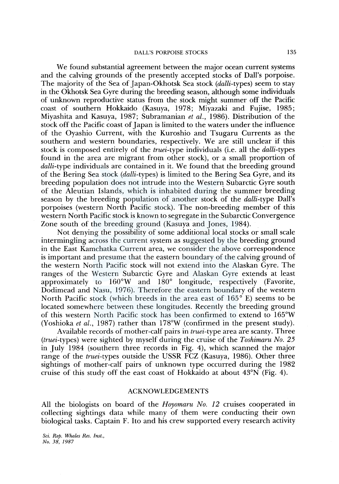We found substantial agreement between the major ocean current systems and the calving grounds of the presently accepted stocks of Dall's porpoise. The majority of the Sea of Japan-Okhotsk Sea stock (*dalli-types*) seem to stay in the Okhotsk Sea Gyre during the breeding season, although some individuals of unknown reproductive status from the stock might summer off the Pacific coast of southern Hokkaido (Kasuya, 1978; Miyazaki and Fujise, 1985; Miyashita and Kasuya, 1987; Subramanian *et al.,* 1986). Distribution of the stock off the Pacific coast of Japan is limited to the waters under the influence of the Oyashio Current, with the Kuroshio and Tsugaru Currents as the southern and western boundaries, respectively. We are still unclear if this stock is composed entirely of the *truei-type* individuals (i.e. all the *dalli-types*  found in the area are migrant from other stock), or a small proportion of *dalli-type* individuals are contained in it. We found that the breeding ground of the Bering Sea stock *(dalli-types)* is limited to the Bering Sea Gyre, and its breeding population does not intrude into the Western Subarctic Gyre south of the Aleutian Islands, which is inhabited during the summer breeding season by the breeding population of another stock of the *dalli-type* Dall's porpoises (western North Pacific stock). The non-breeding member of this western North Pacific stock is known to segregate in the Subarctic Convergence Zone south of the breeding ground (Kasuya and Jones, 1984).

Not denying the possibility of some additional local stocks or small scale intermingling across the current system as suggested by the breeding ground in the East Kamchatka Current area, we consider the above correspondence is important and presume that the eastern boundary of the calving ground of the western North Pacific stock will not extend into the Alaskan Gyre. The ranges of the Western Subarctic Gyre and Alaskan Gyre extends at least approximately to 160°W and 180° longitude, respectively (Favorite, Dodimead and Nasu, 1976). Therefore the eastern boundary of the western North Pacific stock (which breeds in the area east of 165° E) seems to be located somewhere between these longitudes. Recently the breeding ground of this western North Pacific stock has been confirmed to extend to 165°W (Yoshioka *et al.*, 1987) rather than 178°W (confirmed in the present study).

Available records of mother-calf pairs in *truei-type* area are scanty. Three *(truei-types)* were sighted by myself during the cruise of the *Toshimaru No. 25*  in July 1984 (southern three records in Fig. 4), which scanned the major range of the *truei-types* outside the USSR FCZ (Kasuya, 1986). Other three sightings of mother-calf pairs of unknown type occurred during the 1982 cruise of this study off the east coast of Hokkaido at about 43°N (Fig. 4).

## ACKNOWLEDGEMENTS

All the biologists on board of the *Hoyomaru No. 12* cruises cooperated in collecting sightings data while many of them were conducting their own biological tasks. Captain F. Ito and his crew supported every research activity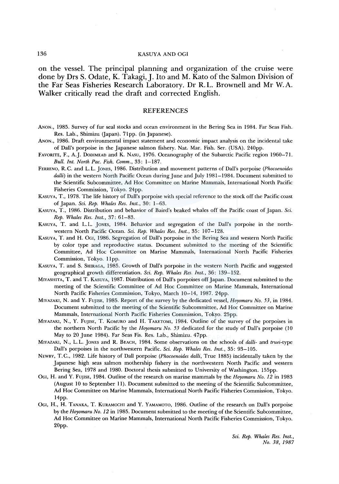on the vessel. The principal planning and organization of the cruise were done by Drs S. Odate, K. Takagi, J. Ito and M. Kato of the Salmon Division of the Far Seas Fisheries Research Laboratory. Dr R.L. Brownell and Mr W.A. Walker critically read the draft and corrected English.

#### REFERENCES

- ANON., 1985. Survey of fur seal stocks and ocean environment in the Bering Sea in 1984. Far Seas Fish. Res. Lab., Shimizu (Japan). 7lpp. (in Japanese).
- ANON., 1986. Draft environmental impact statement and economic impact analysis on the incidental take of Dall's porpoise in the Japanese salmon fishery. Nat. Mar. Fish. Ser. (USA). 240pp.
- FAVORITE, F., A.J. DODIMEAD and K. NASU, 1976. Oceanography of the Subarctic Pacific region 1960-71. *Bull. Int. North Pac. Fish. Comm.,* 33: 1-187.
- FERRENO, R.C. and L.L. JONES, 1986. Distribution and movement patterns of Dall's porpoise *(Phocoenoides dalli)* in the western North Pacific Ocean during June and July 1981-1984. Document submitted to the Scientific Subcommittee, Ad Hoe Committee on Marine Mammals, International North Pacific Fisheries Commission, Tokyo. 24pp.
- KASUYA, T., 1978. The life history of Dall's porpoise with special reference to the stock off the Pacific coast of Japan. *Sci. Rep. Whales Res. Inst.,* 30: 1-63.
- KASUYA, T., 1986. Distribution and behavior of Baird's beaked whales off the Pacific coast of Japan. *Sci. Rep. Whales Res. Inst.,* 37: 61-83.
- KASUYA, T. and L.L. JONES, 1984. Behavior and segregation of the Dall's porpoise in the northwestern North Pacific Ocean. *Sci. Rep. Whales Res. Inst.,* 35: 107-128.
- KASUYA, T. and H. Oci, 1986. Segregation of Dall's porpoise in the Bering Sea and western North Pacific by color type and reproductive status. Document submitted to the meeting of the Scientific Committee, Ad Hoe Committee on Marine Mammals, International North Pacific Fisheries Commission, Tokyo. llpp.
- KASUYA, T. and S. SHIRAGA, 1985. Growth of Dall's porpoise in the western North Pacific and suggested geographical growth differentiation. *Sci. Rep. Whales Res. Inst.,* 36: 139-152.
- MIYASHITA, T. and T. KASUYA, 1987. Distribution of Dall's porpoises off Japan. Document submitted to the meeting of the Scientific Committee of Ad Hoe Committee on Marine Mammals, International North Pacific Fisheries Commission, Tokyo, March 10-14, 1987. 24pp.
- MIYAZAKI, N. and Y. FUJISE, 1985. Report of the survey by the dedicated vessel, *Hoyomaru No. 53,* in 1984. Document submitted to the meeting of the Scientific Subcommittee, Ad Hoe Committee on Marine Mammals, International North Pacific Fisheries Commission, Tokyo. 25pp.
- MIYAZAKI, N., Y. FUJISE, T. KOMURO and H. TAKETOMI, 1984. Outline of the survey of the porpoises in the northern North Pacific by the *Hoyomaru No. 53* dedicated for the study of Dall's porpoise (10 May to 20 June 1984). Far Seas Fis. Res. Lab., Shimizu. 47pp.
- MIYAZAKI, N., L.L. JONES and R. BEACH, 1984. Some observations on the schools of *dalli-* and *truei-type*  Dall's porpoises in the northwestern Pacific. *Sci. Rep. Whales Res. Inst.,* 35: 93-105.
- NEWBY, T.C., 1982. Life history of Dall porpoise *(Phocoenoides dalli,* True 1885) incidentally taken by the Japanese high seas salmon mothership fishery in the northwestern North Pacific and western Bering Sea, 1978 and 1980. Doctoral thesis submitted to University of Washington. 155pp.
- OGI, H. and Y. FUJISE, 1984. Outline of the research on marine mammals by the *Hoyomaru No. 12* in 1983 (August 10 to September 11). Document submitted to the meeting of the Scientific Subcommittee, Ad Hoe Committee on Marine Mammals, International North Pacific Fisheries Commission, Tokyo. 14pp.
- OGI, H., H. TANAKA, T. KuRAMOCHI and Y. YAMAMOTO, 1986. Outline of the research on Dall's porpoise by the *Hoyomaru No. 12* in 1985. Document submitted to the meeting of the Scientific Subcommittee, Ad Hoe Committee on Marine Mammals, International North Pacific Fisheries Commission, Tokyo. 20pp.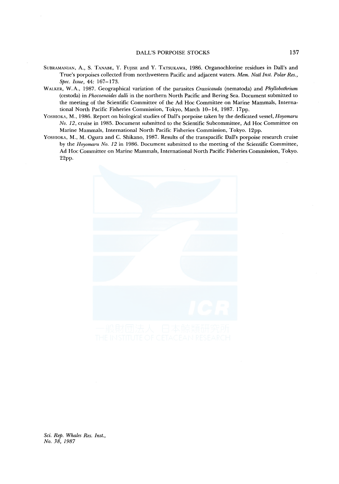- SUBRAMANIAN, A., S. TANABE, Y. FUJISE and Y. TATSUKAWA, 1986. Organochlorine residues in Dall's and True's porpoises collected from northwestern Pacific and adjacent waters. *Mem. Natl Inst. Polar Res., Spee. Issue,* 44: 167-173.
- WALKER, W.A., 1987. Geographical variation of the parasites *Crassicauda* (nematoda) and *Phyllobothrium*  (cestoda) in *Phocoenoides dalli* in the northern North Pacific and Bering Sea. Document submitted to the meeting of the Scientific Committee of the Ad Hoe Committee on Marine Mammals, International North Pacific Fisheries Commission, Tokyo, March 10-14, 1987. 17pp.
- YOSHIOKA, M., 1986. Report on biological studies of Dall's porpoise taken by the dedicated vessel, *Hoyomaru No.* 12, cruise in 1985. Document submitted to the Scientific Subcommittee, Ad Hoe Committee on Marine Mammals, International North Pacific Fisheries Commission, Tokyo. 12pp.
- YosHIOKA, M., M. Ogura and C. Shikano, 1987. Results of the transpacific Dall's porpoise research cruise by the *Hoyomaru No.* 12 in 1986. Document submitted to the meeting of the Scientific Committee, Ad Hoe Committee on Marine Mammals, International North Pacific Fisheries Commission, Tokyo. 22pp.

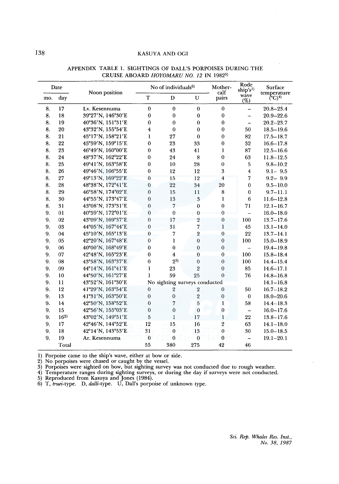|     | Date     | Noon position     |                         | No of individuals <sup>6)</sup> |                         | Mother-<br>calf  | Rode<br>ship's <sup>1</sup> | Surface                |
|-----|----------|-------------------|-------------------------|---------------------------------|-------------------------|------------------|-----------------------------|------------------------|
| mo. | day      |                   | $\mathbf T$             | $\mathbf D$                     | $\mathbf{U}$            | pairs            | wave<br>(%)                 | temperature<br>$(C)^4$ |
| 8.  | 17       | Lv. Kesennuma     | $\mathbf{0}$            | $\bf{0}$                        | $\theta$                | $\mathbf{0}$     | $\overline{\phantom{0}}$    | $20.8 - 23.4$          |
| 8.  | 18       | 39°27'N, 146°30'E | $\bf{0}$                | $\bf{0}$                        | $\bf{0}$                | $\mathbf 0$      | ÷,                          | $20.9 - 22.6$          |
| 8.  | 19       | 40°36'N, 151°31'E | $\mathbf{0}$            | $\mathbf 0$                     | $\bf{0}$                | $\bf{0}$         | $\overline{\phantom{m}}$    | $20.2 - 23.7$          |
| 8.  | 20       | 43°32'N, 155°54'E | $\overline{\mathbf{4}}$ | $\boldsymbol{0}$                | $\bf{0}$                | $\mathbf{0}$     | 50                          | $18.5 - 19.6$          |
| 8.  | 21       | 45°17'N, 158°21'E | $\mathbf{1}$            | 27                              | $\mathbf{0}$            | $\mathbf{0}$     | 82                          | $17.5 - 18.7$          |
| 8.  | 22       | 45°59'N, 159°15'E | $\theta$                | 23                              | 33                      | $\bf{0}$         | 32                          | $16.6 - 17.8$          |
| 8.  | 23       | 46°49'N, 160°00'E | $\bf{0}$                | 43                              | 41                      | $\mathbf{1}$     | 87                          | $12.5 - 16.6$          |
| 8.  | 24       | 48°37'N, 162°22'E | $\mathbf{0}$            | 24                              | 8                       | $\bf{0}$         | 63                          | $11.8 - 12.5$          |
| 8.  | 25       | 49°41'N, 163°58'E | $\bf{0}$                | 10                              | 28                      | $\boldsymbol{0}$ | 5                           | $9.8 - 10.2$           |
| 8.  | 26       | 49°46'N, 166°55'E | $\bf{0}$                | 12                              | 12                      | $\boldsymbol{3}$ | $\overline{4}$              | $9.1 - 9.5$            |
| 8.  | 27       | 49°13'N, 169°22'E | $\bf{0}$                | 15                              | 12                      | $\overline{4}$   | $\overline{7}$              | $9.2 - 9.9$            |
| 8.  | 28       | 48°38'N, 172°41'E | $\mathbf 0$             | 22                              | 34                      | 20               | $\boldsymbol{0}$            | $9.5 - 10.0$           |
| 8.  | 29       | 46°58'N, 174°02'E | $\mathbf{0}$            | 15                              | 11                      | 8                | $\bf{0}$                    | $9.7 - 11.1$           |
| 8.  | 30       | 44°55'N, 173°47'E | $\overline{0}$          | 13                              | $\,3$                   | $\bf{l}$         | 6                           | $11.6 - 12.8$          |
| 8.  | 31       | 43°08'N, 173°31'E | $\mathbf{0}$            | $\overline{7}$                  | $\Omega$                | $\theta$         | 71                          | $12.1 - 16.7$          |
| 9.  | 01       | 40°59'N, 172°01'E | $\mathbf{0}$            | $\overline{0}$                  | $\overline{0}$          | $\overline{0}$   | $\overline{a}$              | $16.0 - 18.0$          |
| 9.  | 02       | 43°09'N, 169°37'E | $\mathbf{0}$            | 17                              | $\overline{2}$          | $\boldsymbol{0}$ | 100                         | $13.7 - 17.6$          |
| 9.  | 03       | 44°05'N, 167°44'E | $\boldsymbol{0}$        | 31                              | 7                       | $\mathbf{1}$     | 45                          | $13.1 - 14.0$          |
| 9.  | 04       | 45°10'N, 165°13'E | $\bf{0}$                | 7                               | $\overline{2}$          | $\bf{0}$         | 22                          | $13.7 - 14.1$          |
| 9.  | 05       | 42°20'N, 167°48'E | $\mathbf{0}$            | $\mathbf{I}$                    | $\overline{0}$          | $\boldsymbol{0}$ | 100                         | $15.0 - 18.9$          |
| 9.  | 06       | 40°00'N, 168°49'E | $\bf{0}$                | $\bf{0}$                        | $\mathbf{0}$            | $\boldsymbol{0}$ | $\overline{\phantom{0}}$    | $19.4 - 19.8$          |
| 9.  | 07       | 42°48'N, 165°23'E | $\bf{0}$                | $\overline{4}$                  | $\mathbf 0$             | $\boldsymbol{0}$ | 100                         | $15.8 - 18.4$          |
| 9.  | 08       | 43°58'N, 163°37'E | $\mathbf{0}$            | $2^{3}$                         | $\theta$                | $\boldsymbol{0}$ | 100                         | $14.4 - 15.4$          |
| 9.  | 09       | 44°14'N, 161°41'E | 1                       | 23                              | $\overline{2}$          | $\boldsymbol{0}$ | 85                          | $14.6 - 17.1$          |
| 9.  | 10       | 44°50'N, 161°27'E | 1                       | 59                              | 25                      | $\boldsymbol{0}$ | 76                          | $14.8 - 16.8$          |
| 9.  | 11       | 43°52'N, 161°30'E |                         | No sighting surveys conducted   |                         |                  |                             | $14.1 - 16.8$          |
| 9.  | 12       | 41°29'N, 163°54'E | $\mathbf{0}$            | $\overline{2}$                  | $\overline{2}$          | $\mathbf{0}$     | 50                          | $16.7 - 18.2$          |
| 9.  | 13       | 41°31'N, 163°50'E | $\boldsymbol{0}$        | $\boldsymbol{0}$                | $\overline{\mathbf{2}}$ | $\boldsymbol{0}$ | $\mathbf{0}$                | $18.0 - 20.6$          |
| 9.  | 14       | 42°50'N, 158°52'E | $\mathbf{0}$            | 7                               | $\overline{5}$          | $\mathbf{1}$     | 58                          | $14.4 - 18.3$          |
| 9.  | 15       | 42°56'N, 155°03'E | $\overline{0}$          | $\boldsymbol{0}$                | $\bf{0}$                | $\boldsymbol{0}$ | $\overline{\phantom{0}}$    | $16.0 - 17.6$          |
| 9.  | $16^{2}$ | 43°02'N, 149°51'E | 5                       | $\overline{1}$                  | 17                      | $\mathbf{1}$     | 22                          | $13.8 - 17.6$          |
| 9.  | 17       | 42°46'N, 144°52'E | 12                      | 15                              | 16                      | $\overline{2}$   | 63                          | $14.1 - 18.0$          |
| 9.  | 18       | 42°14'N, 143°53'E | 31                      | $\boldsymbol{0}$                | 13                      | $\bf{0}$         | 30                          | $15.0 - 18.5$          |
| 9.  | 19       | Ar. Kesennuma     | $\bf{0}$                | $\mathbf{0}$                    | $\bf{0}$                | $\boldsymbol{0}$ | $\qquad \qquad -$           | $19.1 - 20.1$          |
|     | Total    |                   | 55                      | 380                             | 275                     | 42               | 46                          |                        |

#### APPENDIX TABLE l. SIGHTINGS OF DALL'S PORPOISES DURING THE CRUISE ABOARD *HOYOMARU NO. 12* IN 1982<sup>5)</sup>

1) Porpoise came to the ship's wave, either at bow or side.

2) No porpoises were chased or caught by the vessel.

3) Porpoises were sighted on bow, but sighting survey was not conducted due to rough weather.

4) Temperature ranges during sighting surveys, or during the day if surveys were not conducted.

5) Reproduced from Kasuya and Jones (1984).

6) T, *truei-type.* D, *dalli-type.* U, Dall's porpoise of unknown type.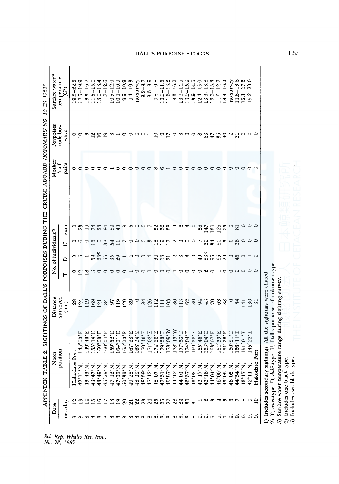| Date           |          |                                                                | position<br>Noon                      | surveyed<br>Distance                                    |           | No. of individuals <sup>2)</sup> |                |                        | Mother<br>/calf | Porpoises<br>rode bow                       | Surface water <sup>3)</sup><br>temperature |
|----------------|----------|----------------------------------------------------------------|---------------------------------------|---------------------------------------------------------|-----------|----------------------------------|----------------|------------------------|-----------------|---------------------------------------------|--------------------------------------------|
| mo. day        |          |                                                                |                                       | (mn)                                                    | ⊢         | $\mathbf{D}$                     | U              | sum                    | pairs           | wave                                        | ်)                                         |
|                |          | Hakodate                                                       | Port                                  |                                                         |           |                                  |                |                        | 0               |                                             | $19.2 - 22.8$                              |
| လက             |          | 42°11'N,                                                       | $5^{\circ}00'$ E<br>$\vec{A}$         | 28<br>124                                               | ဝ ရုတ္က ေ | $0 - 52$                         | <b>ေ</b> ေ ေ ေ | $\circ$ $\frac{8}{23}$ |                 | ុក្ខស្រាក្ខេស                               | $12.5 - 19.9$                              |
|                |          | 43°43'N.                                                       | 3°40′E<br>₹                           | 149                                                     |           |                                  |                |                        |                 |                                             | $13.3 - 16.2$                              |
| $\ddot{5}$     |          | 43°47'N                                                        | $5^{\circ}14$ 'E<br>Ξ                 |                                                         |           |                                  |                |                        |                 |                                             | $1.5 - 15.0$                               |
| ≌              |          | 43°49'N,<br>45°29'N,                                           | $0^{\circ}00'$ E<br>$\Xi$             | $\frac{2}{9}$ $\frac{1}{2}$ $\frac{1}{8}$ $\frac{1}{9}$ |           |                                  |                | 283                    |                 |                                             | $13.0 - 18.4$                              |
| $\overline{L}$ |          |                                                                | 1.50 <sub>o</sub><br>ত্র              |                                                         |           |                                  |                | 88                     |                 |                                             | $11.7 - 12.6$                              |
| ≌              |          | 47°12′N                                                        | 9°52'E<br>$\tilde{15}$                |                                                         |           |                                  | $33 + 1$       |                        |                 |                                             | $10.5 - 12.0$                              |
|                |          | 47°55'N                                                        | 164°01'E                              | 119                                                     |           | $553 -$                          |                | 40                     |                 |                                             | $10.0 - 10.9$                              |
| $\mathbb{S}^2$ |          | 50°39'N                                                        | $5^{\circ}00$ <sup>'</sup> E<br>$\Xi$ |                                                         |           |                                  | r              |                        |                 | ∘                                           | $9.9 - 10.9$                               |
|                |          | 49°28'N                                                        | 7°28'E<br>$\mathbf{e}$                | $\begin{array}{c} 20 \\ 89 \end{array}$                 |           | 4                                | $\circ$        | $\infty$ 10 $\infty$   |                 | $\circ$                                     | $9.4 - 10.3$                               |
|                |          |                                                                | $8°34'$ E<br>$\tilde{\mathcal{E}}$    | $\bullet$                                               |           |                                  |                |                        |                 | $\circ$                                     | no survey                                  |
|                |          | 48°39'N,<br>48°39'N,<br>47°12'N,                               | $0^{\circ}10^{\prime}$ E<br>Π         | 84                                                      |           | $\circ$ $\circ$                  |                | $\circ$ r              |                 | $\circ$ $-$                                 | $9.2 - 9.7$                                |
|                |          |                                                                | 1°08'E<br>17                          |                                                         |           | $\overline{\phantom{a}}$         |                |                        |                 |                                             | $9.6 - 9.9$                                |
|                | 523358   | 48°07'N                                                        | $4°28'$ E<br>Ŀ,                       | SHHERSHERS SHRES                                        |           |                                  | oowgghawoor    |                        |                 | $\frac{1}{2}$                               | $9.8 - 10.8$                               |
|                |          |                                                                | 9°33'E<br>Ě                           |                                                         |           |                                  |                |                        |                 |                                             | $10.9 - 11.5$                              |
|                | 27       | $47°31'$ N,<br>$45°57'$ N,                                     | $W$ , $50$ °8<br>$\ddot{\Gamma}$      |                                                         |           |                                  |                | 528                    |                 |                                             | $11.6 - 13.2$                              |
|                | 28       | 44°12′N                                                        | $3^{\circ}13'$ W<br>17                |                                                         |           | 31212340                         |                | 4                      |                 |                                             | $13.3 - 16.2$                              |
|                | 29       | N.10 <sub>°</sub> bł                                           | 7°53'E<br>Ĕ                           |                                                         |           |                                  |                | 9                      |                 |                                             | $13.1 - 14.9$                              |
|                | వె       | 43°37'N                                                        | $4^{\circ}04'E$<br>17.                |                                                         |           |                                  |                |                        |                 |                                             | $13.9 - 15.9$                              |
|                |          | 43°08'N                                                        | 9°38'E<br>$\tilde{e}$                 |                                                         |           |                                  |                |                        |                 | $F$ $\circ$ $\circ$ $\circ$ $\circ$ $\circ$ | $13.9 - 14.5$                              |
|                |          | 43°17'N                                                        | 5°46'E<br>$\ddot{\mathbf{e}}$         |                                                         |           |                                  |                | 36                     |                 |                                             | $12.4 - 13.0$                              |
|                |          | 43°16′N,<br>44°04′N,                                           | 3°04'E<br>$\ddot{5}$                  |                                                         |           | 4935                             | $\mbox{S}$     | 147                    |                 | 63                                          | $13.3 - 13.8$                              |
|                | ന        |                                                                | 3°07' E<br>$\overline{\omega}$        |                                                         |           |                                  | 34             | $\overline{.30}$       |                 | 47                                          | $12.6 - 13.8$                              |
|                | ᢦ        | 46°00'N                                                        | 4°33'E<br>ف                           |                                                         |           |                                  | $\mathbf{60}$  | <b>126</b>             |                 | 35                                          | $11.6 - 12.7$                              |
|                |          | 45°06'N                                                        | 1°26'E<br>$\mathbf{e}$                |                                                         |           |                                  |                |                        |                 | $\overline{40}$                             | $13.3 - 16.2$                              |
|                | n or woo | 46°05'N                                                        | 0°21'E<br>$\tilde{e}$                 |                                                         |           | $8889$                           | 50000          | $\circ$                |                 | $\circ$                                     | no survey                                  |
|                |          |                                                                | $5^{\circ}11'E$<br>$\bar{n}$          | 84                                                      |           |                                  |                | $\overline{8}$         |                 | $\overline{5}$                              | $1.8 - 13.8$                               |
|                |          | $44^{\circ}54'$ N,<br>$43^{\circ}17'$ N,<br>$42^{\circ}11'$ N, | $1^{\circ}01'$ E<br>1O                | 141                                                     |           |                                  |                |                        |                 |                                             | $12.1 - 17.3$                              |
|                |          |                                                                | 5°22'E<br>4                           | $\frac{50}{31}$                                         |           |                                  |                |                        |                 | $\circ \circ \circ$                         | $15.2 - 20.0$                              |
|                |          | Hakodate Port                                                  |                                       |                                                         |           |                                  |                |                        |                 |                                             |                                            |

Sci. Rep. Whales Res. Inst.,<br>No. 38, 1987

139

4) Includes one black type. ...... 5) Includes two black types. <.O 1) Includes secondary sightings. All the sightings were chased.<br>2) T, *truci*-type. D, *dalli*-type. U, Dall's porpoise of unknown type.<br>3) Surface water temperature range during sighting survey.<br>4) Includes two black type

2) T, *truei-type.* D, *dalli-type.* U, Dall's porpoise of unknown type. 3) Surface water temperature range during sighting survey.